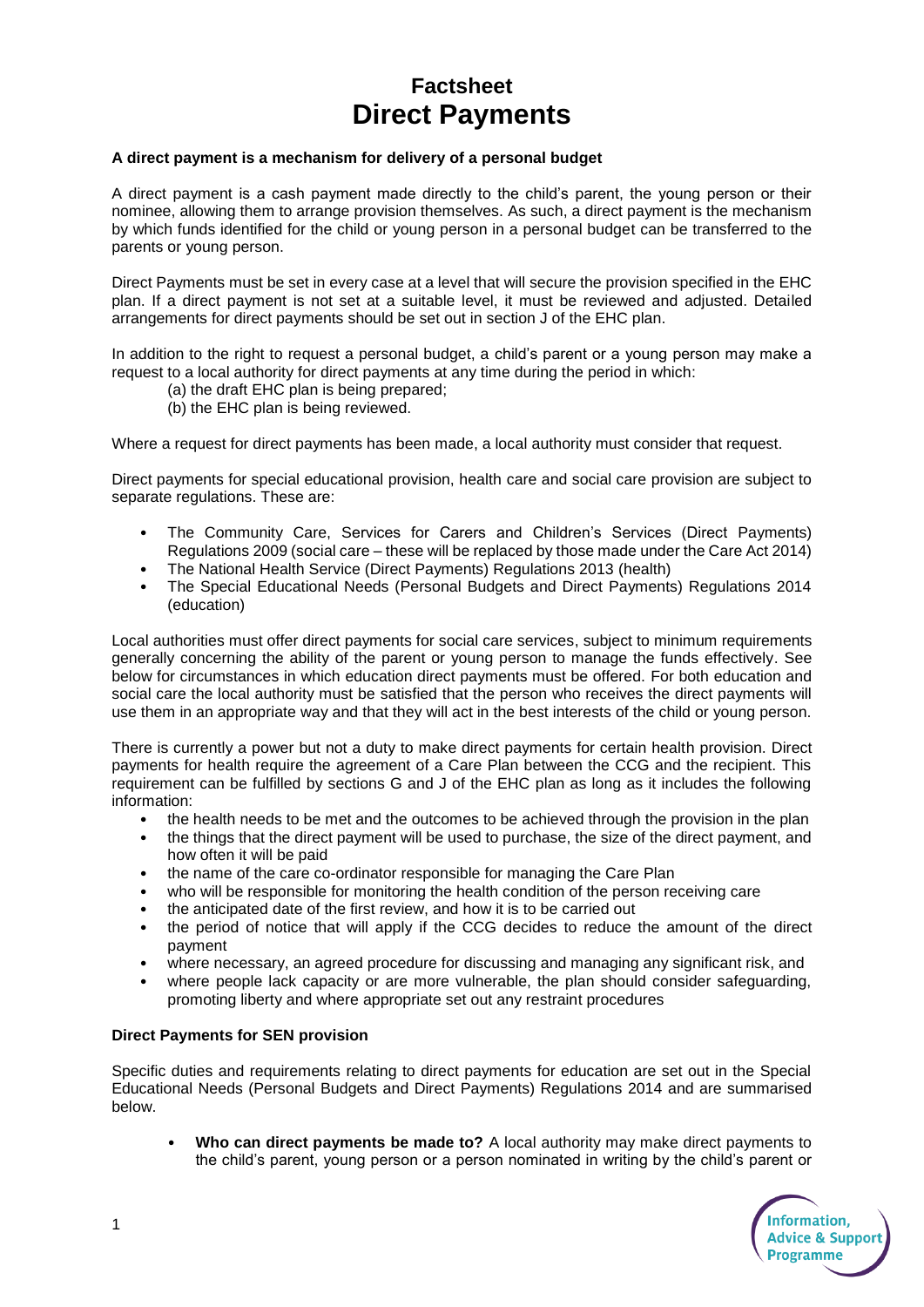## **Factsheet Direct Payments**

## **A direct payment is a mechanism for delivery of a personal budget**

A direct payment is a cash payment made directly to the child's parent, the young person or their nominee, allowing them to arrange provision themselves. As such, a direct payment is the mechanism by which funds identified for the child or young person in a personal budget can be transferred to the parents or young person.

Direct Payments must be set in every case at a level that will secure the provision specified in the EHC plan. If a direct payment is not set at a suitable level, it must be reviewed and adjusted. Detailed arrangements for direct payments should be set out in section J of the EHC plan.

In addition to the right to request a personal budget, a child's parent or a young person may make a request to a local authority for direct payments at any time during the period in which:

- (a) the draft EHC plan is being prepared;
- (b) the EHC plan is being reviewed.

Where a request for direct payments has been made, a local authority must consider that request.

Direct payments for special educational provision, health care and social care provision are subject to separate regulations. These are:

- The Community Care, Services for Carers and Children's Services (Direct Payments) Regulations 2009 (social care – these will be replaced by those made under the Care Act 2014)
- The National Health Service (Direct Payments) Regulations 2013 (health)
- The Special Educational Needs (Personal Budgets and Direct Payments) Regulations 2014 (education)

Local authorities must offer direct payments for social care services, subject to minimum requirements generally concerning the ability of the parent or young person to manage the funds effectively. See below for circumstances in which education direct payments must be offered. For both education and social care the local authority must be satisfied that the person who receives the direct payments will use them in an appropriate way and that they will act in the best interests of the child or young person.

There is currently a power but not a duty to make direct payments for certain health provision. Direct payments for health require the agreement of a Care Plan between the CCG and the recipient. This requirement can be fulfilled by sections G and J of the EHC plan as long as it includes the following information:

- the health needs to be met and the outcomes to be achieved through the provision in the plan
- the things that the direct payment will be used to purchase, the size of the direct payment, and how often it will be paid
- the name of the care co-ordinator responsible for managing the Care Plan
- who will be responsible for monitoring the health condition of the person receiving care
- the anticipated date of the first review, and how it is to be carried out
- the period of notice that will apply if the CCG decides to reduce the amount of the direct payment
- where necessary, an agreed procedure for discussing and managing any significant risk, and
- where people lack capacity or are more vulnerable, the plan should consider safeguarding, promoting liberty and where appropriate set out any restraint procedures

## **Direct Payments for SEN provision**

Specific duties and requirements relating to direct payments for education are set out in the Special Educational Needs (Personal Budgets and Direct Payments) Regulations 2014 and are summarised below.

• **Who can direct payments be made to?** A local authority may make direct payments to the child's parent, young person or a person nominated in writing by the child's parent or

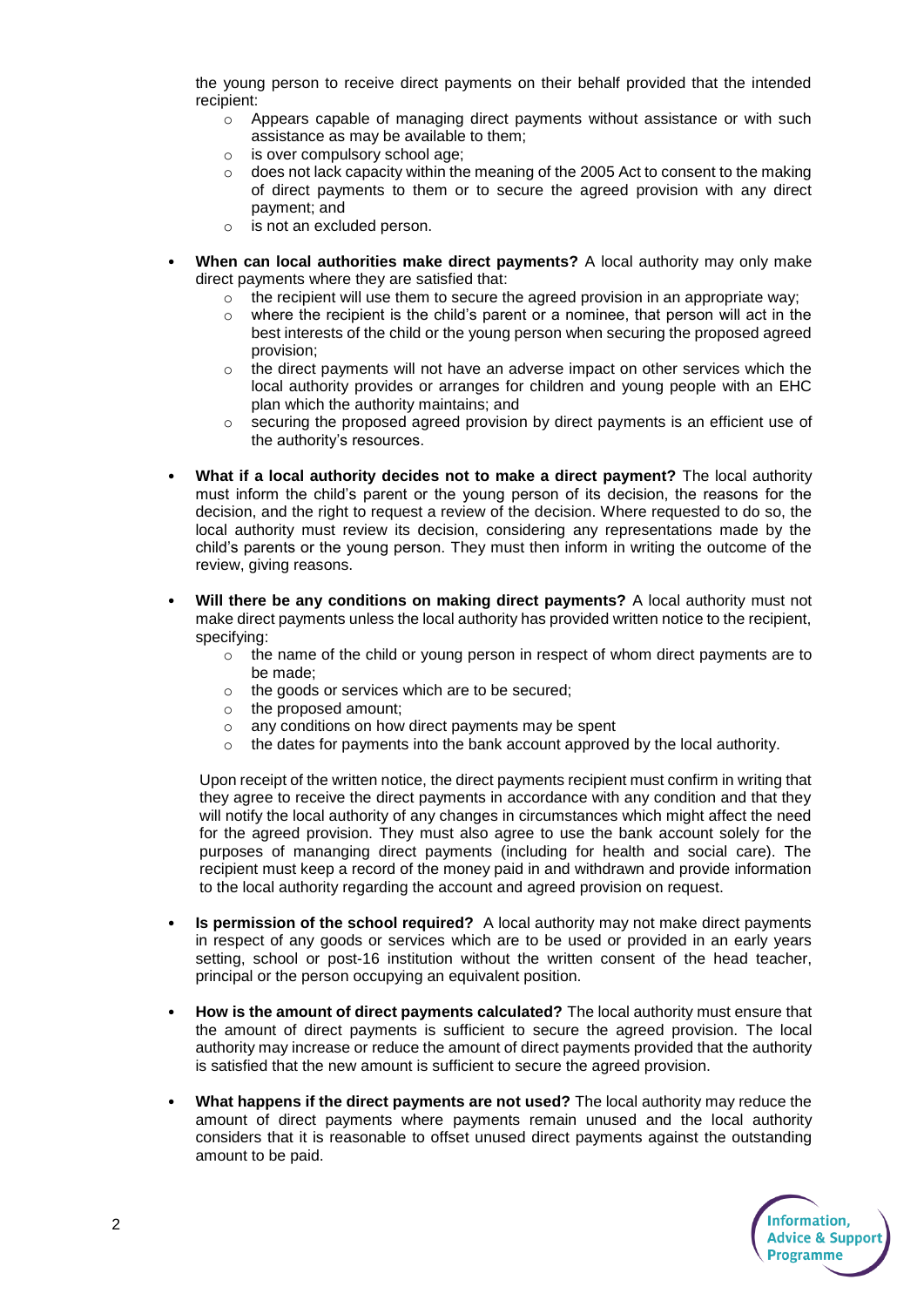the young person to receive direct payments on their behalf provided that the intended recipient:

- $\circ$  Appears capable of managing direct payments without assistance or with such assistance as may be available to them;
- o is over compulsory school age;
- $\circ$  does not lack capacity within the meaning of the 2005 Act to consent to the making of direct payments to them or to secure the agreed provision with any direct payment; and
- o is not an excluded person.
- **When can local authorities make direct payments?** A local authority may only make direct payments where they are satisfied that:
	- $\circ$  the recipient will use them to secure the agreed provision in an appropriate way;
	- $\circ$  where the recipient is the child's parent or a nominee, that person will act in the best interests of the child or the young person when securing the proposed agreed provision;
	- $\circ$  the direct payments will not have an adverse impact on other services which the local authority provides or arranges for children and young people with an EHC plan which the authority maintains; and
	- $\circ$  securing the proposed agreed provision by direct payments is an efficient use of the authority's resources.
- **What if a local authority decides not to make a direct payment?** The local authority must inform the child's parent or the young person of its decision, the reasons for the decision, and the right to request a review of the decision. Where requested to do so, the local authority must review its decision, considering any representations made by the child's parents or the young person. They must then inform in writing the outcome of the review, giving reasons.
- **Will there be any conditions on making direct payments?** A local authority must not make direct payments unless the local authority has provided written notice to the recipient, specifying:
	- $\circ$  the name of the child or young person in respect of whom direct payments are to be made;
	- o the goods or services which are to be secured;
	- o the proposed amount;
	- o any conditions on how direct payments may be spent
	- the dates for payments into the bank account approved by the local authority.

Upon receipt of the written notice, the direct payments recipient must confirm in writing that they agree to receive the direct payments in accordance with any condition and that they will notify the local authority of any changes in circumstances which might affect the need for the agreed provision. They must also agree to use the bank account solely for the purposes of mananging direct payments (including for health and social care). The recipient must keep a record of the money paid in and withdrawn and provide information to the local authority regarding the account and agreed provision on request.

- **Is permission of the school required?** A local authority may not make direct payments in respect of any goods or services which are to be used or provided in an early years setting, school or post-16 institution without the written consent of the head teacher, principal or the person occupying an equivalent position.
- **How is the amount of direct payments calculated?** The local authority must ensure that the amount of direct payments is sufficient to secure the agreed provision. The local authority may increase or reduce the amount of direct payments provided that the authority is satisfied that the new amount is sufficient to secure the agreed provision.
- **What happens if the direct payments are not used?** The local authority may reduce the amount of direct payments where payments remain unused and the local authority considers that it is reasonable to offset unused direct payments against the outstanding amount to be paid.